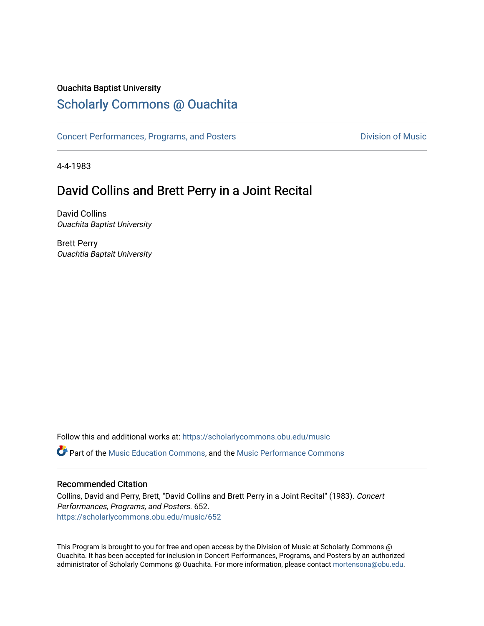### Ouachita Baptist University

## [Scholarly Commons @ Ouachita](https://scholarlycommons.obu.edu/)

[Concert Performances, Programs, and Posters](https://scholarlycommons.obu.edu/music) **Division of Music** Division of Music

4-4-1983

## David Collins and Brett Perry in a Joint Recital

David Collins Ouachita Baptist University

Brett Perry Ouachtia Baptsit University

Follow this and additional works at: [https://scholarlycommons.obu.edu/music](https://scholarlycommons.obu.edu/music?utm_source=scholarlycommons.obu.edu%2Fmusic%2F652&utm_medium=PDF&utm_campaign=PDFCoverPages)  **C** Part of the [Music Education Commons,](http://network.bepress.com/hgg/discipline/1246?utm_source=scholarlycommons.obu.edu%2Fmusic%2F652&utm_medium=PDF&utm_campaign=PDFCoverPages) and the Music Performance Commons

### Recommended Citation

Collins, David and Perry, Brett, "David Collins and Brett Perry in a Joint Recital" (1983). Concert Performances, Programs, and Posters. 652. [https://scholarlycommons.obu.edu/music/652](https://scholarlycommons.obu.edu/music/652?utm_source=scholarlycommons.obu.edu%2Fmusic%2F652&utm_medium=PDF&utm_campaign=PDFCoverPages) 

This Program is brought to you for free and open access by the Division of Music at Scholarly Commons @ Ouachita. It has been accepted for inclusion in Concert Performances, Programs, and Posters by an authorized administrator of Scholarly Commons @ Ouachita. For more information, please contact [mortensona@obu.edu](mailto:mortensona@obu.edu).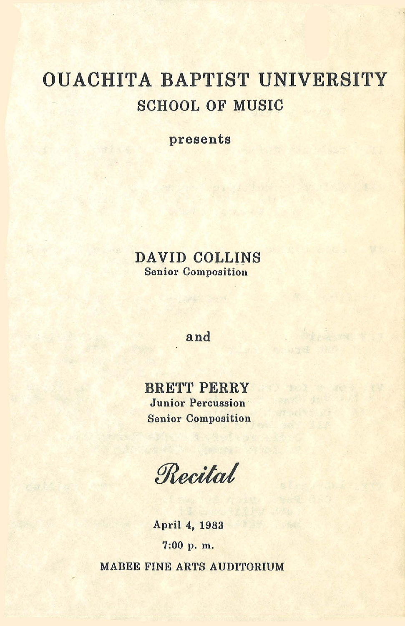# OUACHITA BAPTIST UNIVERSITY SCHOOL OF MUSIC

presents

### DAVID COLLINS Senior Composition

### and

BRETT PERRY Junior Percussion Senior Composition

Recital

April 4, 1983 7:00 p. m. MABEE FINE ARTS AUDITORIUM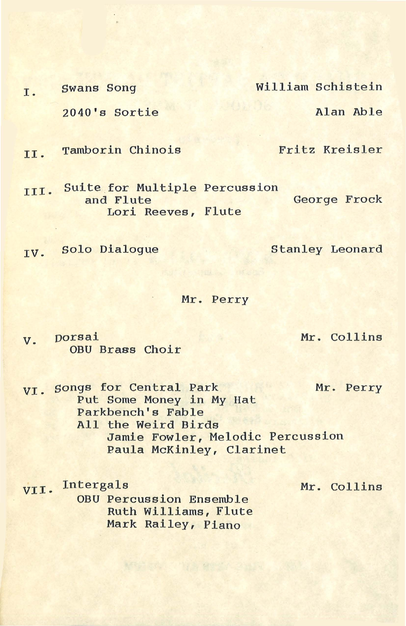I. Swans Song William Schistein 2040's Sortie Alan Able

II. Tamborin Chinois Fritz Kreisler

III. Suite for Multiple Percussion George Frock Lori Reeves, Flute

TV. Solo Dialogue Stanley Leonard

Mr. Perry

v. Dorsai Mr. Collins OBU Brass Choir

VI. Songs for Central Park Mr. Perry Put Some Money in My Hat Parkbench's Fable All the Weird Birds Jamie Fowler, Melodic Percussion Paula McKinley, Clarinet

VII· Intergals

OBU Percussion Ensemble Ruth Williams, Flute Mark Railey, Piano

Mr. Collins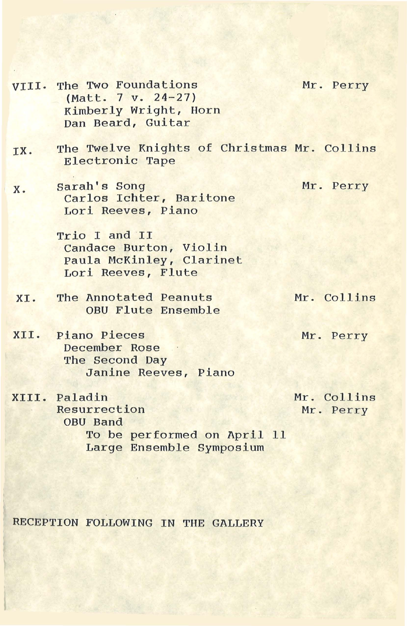- VIII. The Two Foundations (Matt. 7 v. 24-27) Kimberly Wright, Horn Dan Beard, Guitar
- IX. The Twelve Knights of Christmas Mr. Collins Electronic Tape
- x. sarah's Song Carlos Ichter, Baritone Lori Reeves, Piano

Trio I and II Candace Burton, Violin Paula McKinley, Clarinet Lori Reeves, Flute

XI. The Annotated Peanuts OBU Flute Ensemble Mr. Collins

Mr. Perry

- XII. Piano Pieces December Rose The Second Day Janine Reeves, Piano
- XIII. Paladin Resurrection OBU Band To be performed on April 11 Large Ensemble Symposium

Mr. Collins Mr. Perry

RECEPTION FOLLOWING IN THE GALLERY

Mr. Perry

Mr. Perry